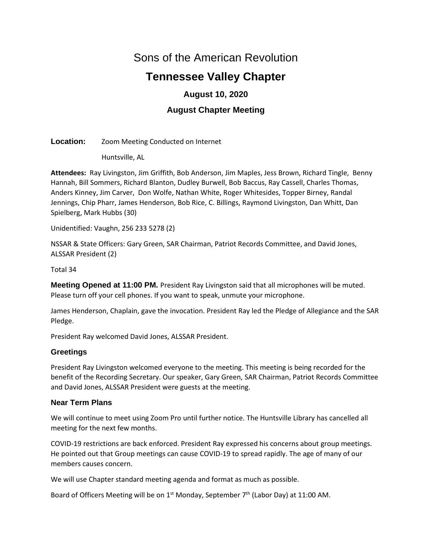# Sons of the American Revolution

# **Tennessee Valley Chapter**

# **August 10, 2020**

# **August Chapter Meeting**

**Location:** Zoom Meeting Conducted on Internet

Huntsville, AL

**Attendees:** Ray Livingston, Jim Griffith, Bob Anderson, Jim Maples, Jess Brown, Richard Tingle, Benny Hannah, Bill Sommers, Richard Blanton, Dudley Burwell, Bob Baccus, Ray Cassell, Charles Thomas, Anders Kinney, Jim Carver, Don Wolfe, Nathan White, Roger Whitesides, Topper Birney, Randal Jennings, Chip Pharr, James Henderson, Bob Rice, C. Billings, Raymond Livingston, Dan Whitt, Dan Spielberg, Mark Hubbs (30)

Unidentified: Vaughn, 256 233 5278 (2)

NSSAR & State Officers: Gary Green, SAR Chairman, Patriot Records Committee, and David Jones, ALSSAR President (2)

Total 34

**Meeting Opened at 11:00 PM.** President Ray Livingston said that all microphones will be muted. Please turn off your cell phones. If you want to speak, unmute your microphone.

James Henderson, Chaplain, gave the invocation. President Ray led the Pledge of Allegiance and the SAR Pledge.

President Ray welcomed David Jones, ALSSAR President.

# **Greetings**

President Ray Livingston welcomed everyone to the meeting. This meeting is being recorded for the benefit of the Recording Secretary. Our speaker, Gary Green, SAR Chairman, Patriot Records Committee and David Jones, ALSSAR President were guests at the meeting.

# **Near Term Plans**

We will continue to meet using Zoom Pro until further notice. The Huntsville Library has cancelled all meeting for the next few months.

COVID-19 restrictions are back enforced. President Ray expressed his concerns about group meetings. He pointed out that Group meetings can cause COVID-19 to spread rapidly. The age of many of our members causes concern.

We will use Chapter standard meeting agenda and format as much as possible.

Board of Officers Meeting will be on  $1^{st}$  Monday, September  $7^{th}$  (Labor Day) at 11:00 AM.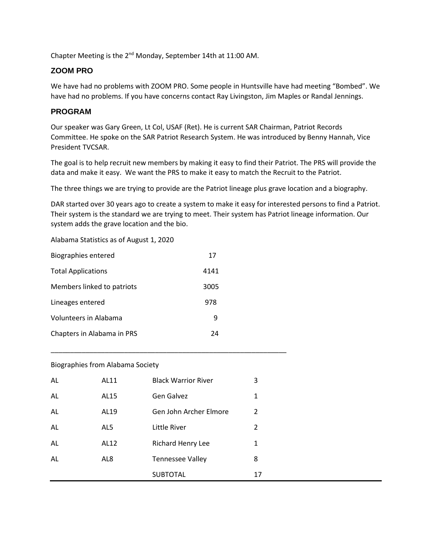Chapter Meeting is the 2<sup>nd</sup> Monday, September 14th at 11:00 AM.

# **ZOOM PRO**

We have had no problems with ZOOM PRO. Some people in Huntsville have had meeting "Bombed". We have had no problems. If you have concerns contact Ray Livingston, Jim Maples or Randal Jennings.

# **PROGRAM**

Our speaker was Gary Green, Lt Col, USAF (Ret). He is current SAR Chairman, Patriot Records Committee. He spoke on the SAR Patriot Research System. He was introduced by Benny Hannah, Vice President TVCSAR.

The goal is to help recruit new members by making it easy to find their Patriot. The PRS will provide the data and make it easy. We want the PRS to make it easy to match the Recruit to the Patriot.

The three things we are trying to provide are the Patriot lineage plus grave location and a biography.

DAR started over 30 years ago to create a system to make it easy for interested persons to find a Patriot. Their system is the standard we are trying to meet. Their system has Patriot lineage information. Our system adds the grave location and the bio.

Alabama Statistics as of August 1, 2020

| <b>Biographies entered</b> | 17   |
|----------------------------|------|
| <b>Total Applications</b>  | 4141 |
| Members linked to patriots | 3005 |
| Lineages entered           | 978  |
| Volunteers in Alabama      | 9    |
| Chapters in Alabama in PRS | 24   |

#### Biographies from Alabama Society

| AL | AL11 | <b>Black Warrior River</b> | 3  |
|----|------|----------------------------|----|
| AL | AL15 | Gen Galvez                 | 1  |
| AL | AL19 | Gen John Archer Elmore     | 2  |
| AL | AL5  | Little River               | 2  |
| AL | AL12 | <b>Richard Henry Lee</b>   | 1  |
| AL | AL8  | <b>Tennessee Valley</b>    | 8  |
|    |      | <b>SUBTOTAL</b>            | 17 |

\_\_\_\_\_\_\_\_\_\_\_\_\_\_\_\_\_\_\_\_\_\_\_\_\_\_\_\_\_\_\_\_\_\_\_\_\_\_\_\_\_\_\_\_\_\_\_\_\_\_\_\_\_\_\_\_\_\_\_\_\_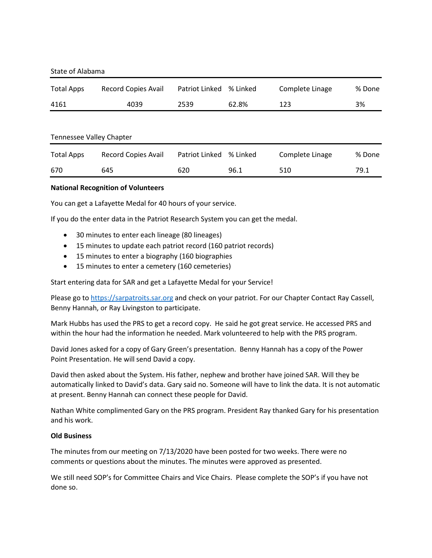| State of Alabama |  |
|------------------|--|
|------------------|--|

| <b>Total Apps</b> | Record Copies Avail | Patriot Linked | % Linked | Complete Linage | % Done |
|-------------------|---------------------|----------------|----------|-----------------|--------|
| 4161              | 4039                | 2539           | 62.8%    | 123             | 3%     |

#### Tennessee Valley Chapter

| <b>Total Apps</b> | Record Copies Avail | Patriot Linked % Linked |      | Complete Linage | % Done |
|-------------------|---------------------|-------------------------|------|-----------------|--------|
| 670               | 645                 | 620                     | 96.1 | 510             | 79.1   |

#### **National Recognition of Volunteers**

You can get a Lafayette Medal for 40 hours of your service.

If you do the enter data in the Patriot Research System you can get the medal.

- 30 minutes to enter each lineage (80 lineages)
- 15 minutes to update each patriot record (160 patriot records)
- 15 minutes to enter a biography (160 biographies
- 15 minutes to enter a cemetery (160 cemeteries)

Start entering data for SAR and get a Lafayette Medal for your Service!

Please go t[o https://sarpatroits.sar.org](about:blank) and check on your patriot. For our Chapter Contact Ray Cassell, Benny Hannah, or Ray Livingston to participate.

Mark Hubbs has used the PRS to get a record copy. He said he got great service. He accessed PRS and within the hour had the information he needed. Mark volunteered to help with the PRS program.

David Jones asked for a copy of Gary Green's presentation. Benny Hannah has a copy of the Power Point Presentation. He will send David a copy.

David then asked about the System. His father, nephew and brother have joined SAR. Will they be automatically linked to David's data. Gary said no. Someone will have to link the data. It is not automatic at present. Benny Hannah can connect these people for David.

Nathan White complimented Gary on the PRS program. President Ray thanked Gary for his presentation and his work.

#### **Old Business**

The minutes from our meeting on 7/13/2020 have been posted for two weeks. There were no comments or questions about the minutes. The minutes were approved as presented.

We still need SOP's for Committee Chairs and Vice Chairs. Please complete the SOP's if you have not done so.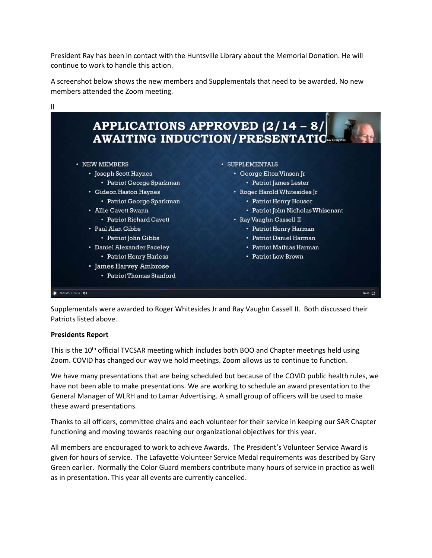President Ray has been in contact with the Huntsville Library about the Memorial Donation. He will continue to work to handle this action.

A screenshot below shows the new members and Supplementals that need to be awarded. No new members attended the Zoom meeting.



Supplementals were awarded to Roger Whitesides Jr and Ray Vaughn Cassell II. Both discussed their Patriots listed above.

#### **Presidents Report**

This is the  $10<sup>th</sup>$  official TVCSAR meeting which includes both BOO and Chapter meetings held using Zoom. COVID has changed our way we hold meetings. Zoom allows us to continue to function.

We have many presentations that are being scheduled but because of the COVID public health rules, we have not been able to make presentations. We are working to schedule an award presentation to the General Manager of WLRH and to Lamar Advertising. A small group of officers will be used to make these award presentations.

Thanks to all officers, committee chairs and each volunteer for their service in keeping our SAR Chapter functioning and moving towards reaching our organizational objectives for this year.

All members are encouraged to work to achieve Awards. The President's Volunteer Service Award is given for hours of service. The Lafayette Volunteer Service Medal requirements was described by Gary Green earlier. Normally the Color Guard members contribute many hours of service in practice as well as in presentation. This year all events are currently cancelled.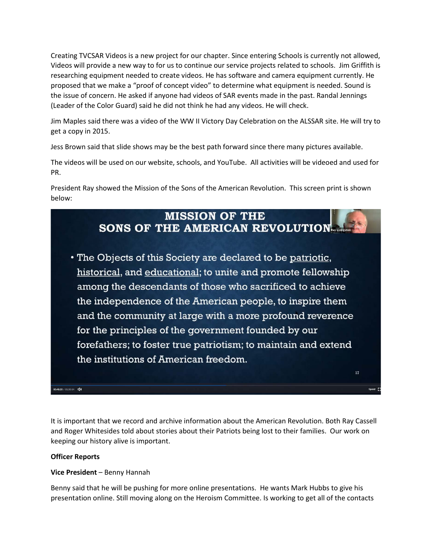Creating TVCSAR Videos is a new project for our chapter. Since entering Schools is currently not allowed, Videos will provide a new way to for us to continue our service projects related to schools. Jim Griffith is researching equipment needed to create videos. He has software and camera equipment currently. He proposed that we make a "proof of concept video" to determine what equipment is needed. Sound is the issue of concern. He asked if anyone had videos of SAR events made in the past. Randal Jennings (Leader of the Color Guard) said he did not think he had any videos. He will check.

Jim Maples said there was a video of the WW II Victory Day Celebration on the ALSSAR site. He will try to get a copy in 2015.

Jess Brown said that slide shows may be the best path forward since there many pictures available.

The videos will be used on our website, schools, and YouTube. All activities will be videoed and used for PR.

President Ray showed the Mission of the Sons of the American Revolution. This screen print is shown below:



It is important that we record and archive information about the American Revolution. Both Ray Cassell and Roger Whitesides told about stories about their Patriots being lost to their families. Our work on keeping our history alive is important.

## **Officer Reports**

## **Vice President** – Benny Hannah

Benny said that he will be pushing for more online presentations. He wants Mark Hubbs to give his presentation online. Still moving along on the Heroism Committee. Is working to get all of the contacts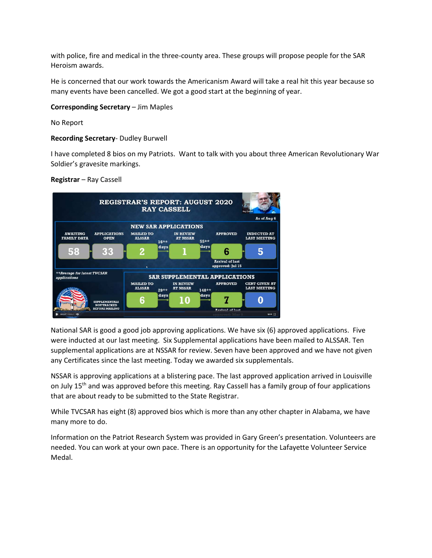with police, fire and medical in the three-county area. These groups will propose people for the SAR Heroism awards.

He is concerned that our work towards the Americanism Award will take a real hit this year because so many events have been cancelled. We got a good start at the beginning of year.

## **Corresponding Secretary** – Jim Maples

No Report

# **Recording Secretary**- Dudley Burwell

I have completed 8 bios on my Patriots. Want to talk with you about three American Revolutionary War Soldier's gravesite markings.

#### **Registrar** – Ray Cassell



National SAR is good a good job approving applications. We have six (6) approved applications. Five were inducted at our last meeting. Six Supplemental applications have been mailed to ALSSAR. Ten supplemental applications are at NSSAR for review. Seven have been approved and we have not given any Certificates since the last meeting. Today we awarded six supplementals.

NSSAR is approving applications at a blistering pace. The last approved application arrived in Louisville on July 15<sup>th</sup> and was approved before this meeting. Ray Cassell has a family group of four applications that are about ready to be submitted to the State Registrar.

While TVCSAR has eight (8) approved bios which is more than any other chapter in Alabama, we have many more to do.

Information on the Patriot Research System was provided in Gary Green's presentation. Volunteers are needed. You can work at your own pace. There is an opportunity for the Lafayette Volunteer Service Medal.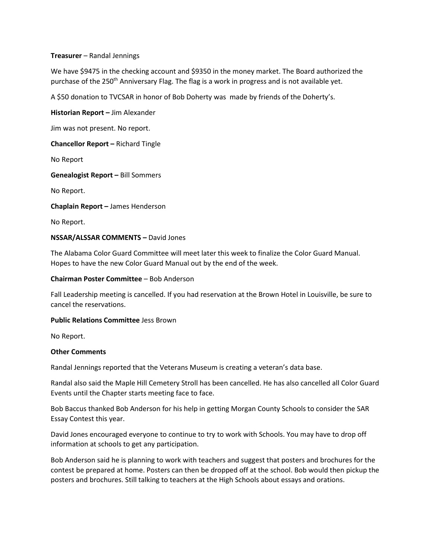## **Treasurer** – Randal Jennings

We have \$9475 in the checking account and \$9350 in the money market. The Board authorized the purchase of the 250<sup>th</sup> Anniversary Flag. The flag is a work in progress and is not available yet.

A \$50 donation to TVCSAR in honor of Bob Doherty was made by friends of the Doherty's.

**Historian Report –** Jim Alexander

Jim was not present. No report.

**Chancellor Report –** Richard Tingle

No Report

**Genealogist Report –** Bill Sommers

No Report.

**Chaplain Report –** James Henderson

No Report.

#### **NSSAR/ALSSAR COMMENTS –** David Jones

The Alabama Color Guard Committee will meet later this week to finalize the Color Guard Manual. Hopes to have the new Color Guard Manual out by the end of the week.

#### **Chairman Poster Committee** – Bob Anderson

Fall Leadership meeting is cancelled. If you had reservation at the Brown Hotel in Louisville, be sure to cancel the reservations.

#### **Public Relations Committee** Jess Brown

No Report.

#### **Other Comments**

Randal Jennings reported that the Veterans Museum is creating a veteran's data base.

Randal also said the Maple Hill Cemetery Stroll has been cancelled. He has also cancelled all Color Guard Events until the Chapter starts meeting face to face.

Bob Baccus thanked Bob Anderson for his help in getting Morgan County Schools to consider the SAR Essay Contest this year.

David Jones encouraged everyone to continue to try to work with Schools. You may have to drop off information at schools to get any participation.

Bob Anderson said he is planning to work with teachers and suggest that posters and brochures for the contest be prepared at home. Posters can then be dropped off at the school. Bob would then pickup the posters and brochures. Still talking to teachers at the High Schools about essays and orations.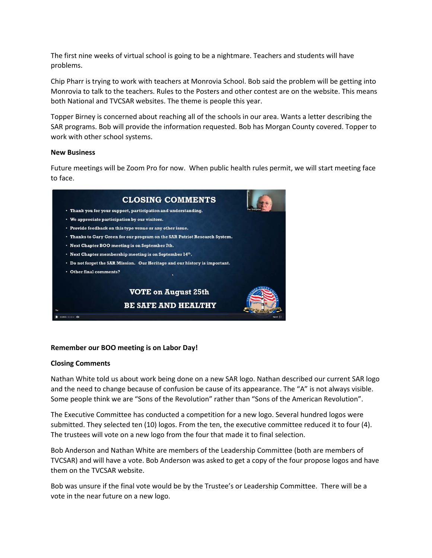The first nine weeks of virtual school is going to be a nightmare. Teachers and students will have problems.

Chip Pharr is trying to work with teachers at Monrovia School. Bob said the problem will be getting into Monrovia to talk to the teachers. Rules to the Posters and other contest are on the website. This means both National and TVCSAR websites. The theme is people this year.

Topper Birney is concerned about reaching all of the schools in our area. Wants a letter describing the SAR programs. Bob will provide the information requested. Bob has Morgan County covered. Topper to work with other school systems.

#### **New Business**

Future meetings will be Zoom Pro for now. When public health rules permit, we will start meeting face to face.



## **Remember our BOO meeting is on Labor Day!**

#### **Closing Comments**

Nathan White told us about work being done on a new SAR logo. Nathan described our current SAR logo and the need to change because of confusion be cause of its appearance. The "A" is not always visible. Some people think we are "Sons of the Revolution" rather than "Sons of the American Revolution".

The Executive Committee has conducted a competition for a new logo. Several hundred logos were submitted. They selected ten (10) logos. From the ten, the executive committee reduced it to four (4). The trustees will vote on a new logo from the four that made it to final selection.

Bob Anderson and Nathan White are members of the Leadership Committee (both are members of TVCSAR) and will have a vote. Bob Anderson was asked to get a copy of the four propose logos and have them on the TVCSAR website.

Bob was unsure if the final vote would be by the Trustee's or Leadership Committee. There will be a vote in the near future on a new logo.